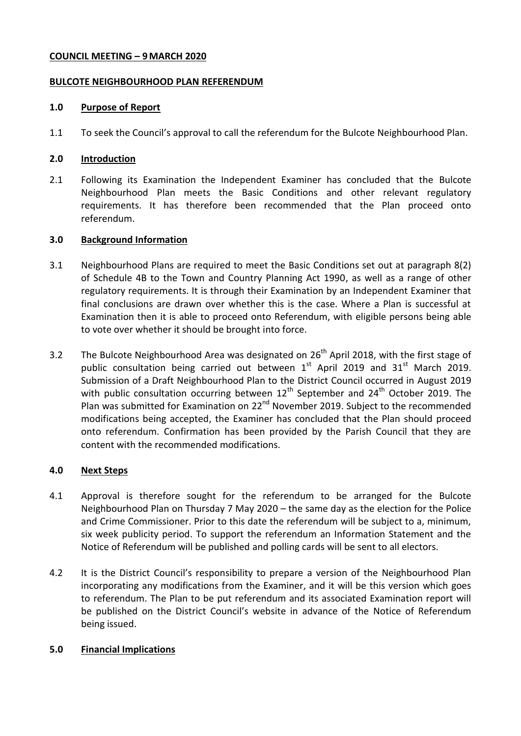## **COUNCIL MEETING – 9MARCH 2020**

#### **BULCOTE NEIGHBOURHOOD PLAN REFERENDUM**

#### **1.0 Purpose of Report**

1.1 To seek the Council's approval to call the referendum for the Bulcote Neighbourhood Plan.

## **2.0 Introduction**

2.1 Following its Examination the Independent Examiner has concluded that the Bulcote Neighbourhood Plan meets the Basic Conditions and other relevant regulatory requirements. It has therefore been recommended that the Plan proceed onto referendum.

#### **3.0 Background Information**

- 3.1 Neighbourhood Plans are required to meet the Basic Conditions set out at paragraph 8(2) of Schedule 4B to the Town and Country Planning Act 1990, as well as a range of other regulatory requirements. It is through their Examination by an Independent Examiner that final conclusions are drawn over whether this is the case. Where a Plan is successful at Examination then it is able to proceed onto Referendum, with eligible persons being able to vote over whether it should be brought into force.
- 3.2 The Bulcote Neighbourhood Area was designated on 26<sup>th</sup> April 2018, with the first stage of public consultation being carried out between  $1<sup>st</sup>$  April 2019 and 31 $<sup>st</sup>$  March 2019.</sup> Submission of a Draft Neighbourhood Plan to the District Council occurred in August 2019 with public consultation occurring between  $12^{th}$  September and  $24^{th}$  October 2019. The Plan was submitted for Examination on 22<sup>nd</sup> November 2019. Subject to the recommended modifications being accepted, the Examiner has concluded that the Plan should proceed onto referendum. Confirmation has been provided by the Parish Council that they are content with the recommended modifications.

# **4.0 Next Steps**

- 4.1 Approval is therefore sought for the referendum to be arranged for the Bulcote Neighbourhood Plan on Thursday 7 May 2020 – the same day as the election for the Police and Crime Commissioner. Prior to this date the referendum will be subject to a, minimum, six week publicity period. To support the referendum an Information Statement and the Notice of Referendum will be published and polling cards will be sent to all electors.
- 4.2 It is the District Council's responsibility to prepare a version of the Neighbourhood Plan incorporating any modifications from the Examiner, and it will be this version which goes to referendum. The Plan to be put referendum and its associated Examination report will be published on the District Council's website in advance of the Notice of Referendum being issued.

# **5.0 Financial Implications**